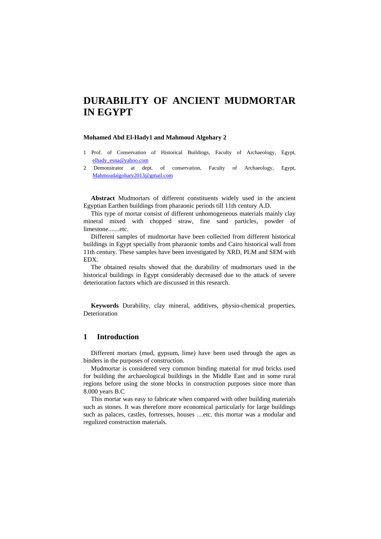# **DURABILITY OF ANCIENT MUDMORTAR IN EGYPT**

#### **Mohamed Abd El-Hady1 and Mahmoud Algohary 2**

- 1 Prof. of Conservation of Historical Buildings, Faculty of Archaeology, Egypt, elhady\_esna@yahoo.com
- 2 Demonstrator at dept. of conservation, Faculty of Archaeology, Egypt, [Mahmoudalgohary2013@gmail.com](mailto:Mahmoudalgohary2013@gmail.com)

**Abstract** Mudmortars of different constituents widely used in the ancient Egyptian Earthen buildings from pharaonic periods till 11th century A.D.

This type of mortar consist of different unhomogeneous materials mainly clay mineral mixed with chopped straw, fine sand particles, powder of limestone.......etc.

Different samples of mudmortar have been collected from different historical buildings in Egypt specially from pharaonic tombs and Cairo historical wall from 11th century. These samples have been investigated by XRD, PLM and SEM with EDX.

The obtained results showed that the durability of mudmortars used in the historical buildings in Egypt considerably decreased due to the attack of severe deterioration factors which are discussed in this research.

**Keywords** Durability, clay mineral, additives, physio-chemical properties, Deterioration

## **1 Introduction**

Different mortars (mud, gypsum, lime) have been used through the ages as binders in the purposes of construction.

Mudmortar is considered very common binding material for mud bricks used for building the archaeological buildings in the Middle East and in some rural regions before using the stone blocks in construction purposes since more than 8.000 years B.C

This mortar was easy to fabricate when compared with other building materials such as stones. It was therefore more economical particularly for large buildings such as palaces, castles, fortresses, houses …etc. this mortar was a modular and regulized construction materials.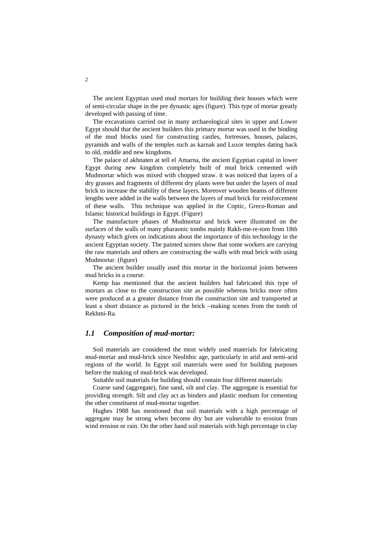The ancient Egyptian used mud mortars for building their houses which were of semi-circular shape in the pre dynastic ages (figure). This type of mortar greatly developed with passing of time.

The excavations carried out in many archaeological sites in upper and Lower Egypt should that the ancient builders this primary mortar was used in the binding of the mud blocks used for constructing castles, fortresses, houses, palaces, pyramids and walls of the temples such as karnak and Luxor temples dating back to old, middle and new kingdoms.

The palace of akhnaten at tell el Amarna, the ancient Egyptian capital in lower Egypt during new kingdom completely built of mud brick cemented with Mudmortar which was mixed with chopped straw. it was noticed that layers of a dry grasses and fragments of different dry plants were but under the layers of mud brick to increase the stability of these layers. Moreover wooden beams of different lengths were added in the walls between the layers of mud brick for reinforcement of these walls. This technique was applied in the Coptic, Greco-Roman and Islamic historical buildings in Egypt. (Figure)

The manufacture phases of Mudmortar and brick were illustrated on the surfaces of the walls of many pharaonic tombs mainly Rakh-me-re-tom from 18th dynasty which gives on indications about the importance of this technology in the ancient Egyptian society. The painted scenes show that some workers are carrying the raw materials and others are constructing the walls with mud brick with using Mudmortar. (figure)

The ancient builder usually used this mortar in the horizontal joints between mud bricks in a course.

Kemp has mentioned that the ancient builders had fabricated this type of mortars as close to the construction site as possible whereas bricks more often were produced at a greater distance from the construction site and transported at least a short distance as pictured in the brick –making scenes from the tomb of Rekhmi-Ra.

## *1.1 Composition of mud-mortar:*

Soil materials are considered the most widely used materials for fabricating mud-mortar and mud-brick since Neolithic age, particularly in arid and semi-arid regions of the world. In Egypt soil materials were used for building purposes before the making of mud-brick was developed.

Suitable soil materials for building should contain four different materials:

Coarse sand (aggregate), fine sand, silt and clay. The aggregate is essential for providing strength. Silt and clay act as binders and plastic medium for cementing the other constituent of mud-mortar together.

Hughes 1988 has mentioned that soil materials with a high percentage of aggregate may be strong when become dry but are vulnerable to erosion from wind erosion or rain. On the other hand soil materials with high percentage in clay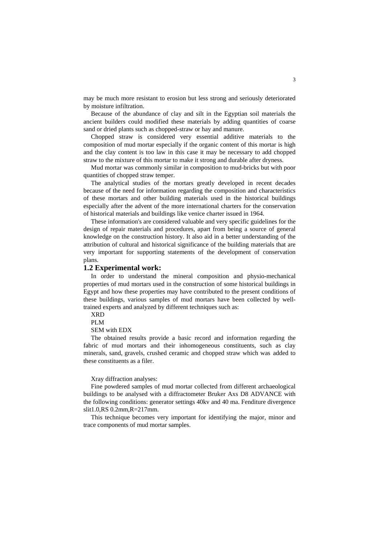may be much more resistant to erosion but less strong and seriously deteriorated by moisture infiltration.

Because of the abundance of clay and silt in the Egyptian soil materials the ancient builders could modified these materials by adding quantities of coarse sand or dried plants such as chopped-straw or hay and manure.

Chopped straw is considered very essential additive materials to the composition of mud mortar especially if the organic content of this mortar is high and the clay content is too law in this case it may be necessary to add chopped straw to the mixture of this mortar to make it strong and durable after dryness.

Mud mortar was commonly similar in composition to mud-bricks but with poor quantities of chopped straw temper.

The analytical studies of the mortars greatly developed in recent decades because of the need for information regarding the composition and characteristics of these mortars and other building materials used in the historical buildings especially after the advent of the more international charters for the conservation of historical materials and buildings like venice charter issued in 1964.

These information's are considered valuable and very specific guidelines for the design of repair materials and procedures, apart from being a source of general knowledge on the construction history. It also aid in a better understanding of the attribution of cultural and historical significance of the building materials that are very important for supporting statements of the development of conservation plans.

### **1.2 Experimental work:**

In order to understand the mineral composition and physio-mechanical properties of mud mortars used in the construction of some historical buildings in Egypt and how these properties may have contributed to the present conditions of these buildings, various samples of mud mortars have been collected by welltrained experts and analyzed by different techniques such as:

XRD

PLM

SEM with EDX

The obtained results provide a basic record and information regarding the fabric of mud mortars and their inhomogeneous constituents, such as clay minerals, sand, gravels, crushed ceramic and chopped straw which was added to these constituents as a filer.

#### Xray diffraction analyses:

Fine powdered samples of mud mortar collected from different archaeological buildings to be analysed with a diffractometer Bruker Axs D8 ADVANCE with the following conditions: generator settings 40kv and 40 ma. Fenditure divergence slit1.0,RS 0.2mm,R=217mm.

This technique becomes very important for identifying the major, minor and trace components of mud mortar samples.